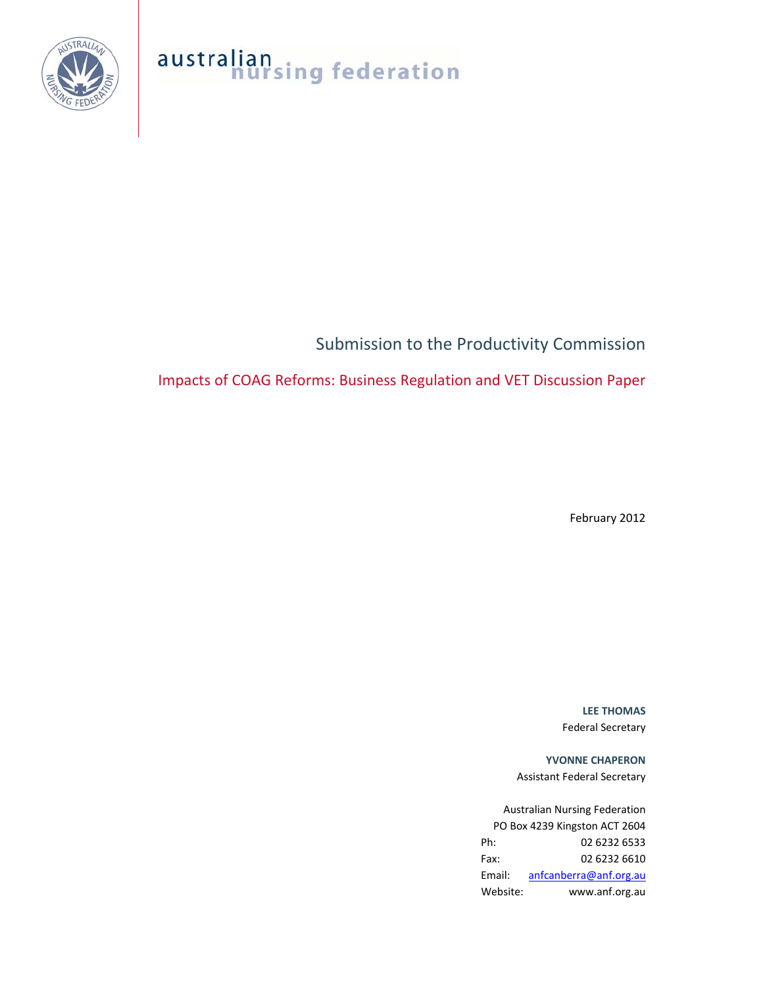

# australian<br> **nursing federation**

# Submission to the Productivity Commission

## Impacts of COAG Reforms: Business Regulation and VET Discussion Paper

February 2012

**LEE THOMAS** Federal Secretary

**YVONNE CHAPERON** Assistant Federal Secretary

Australian Nursing Federation PO Box 4239 Kingston ACT 2604 Ph: 02 6232 6533 Fax: 02 6232 6610 Email: anfcanberra@anf.org.au Website: www.anf.org.au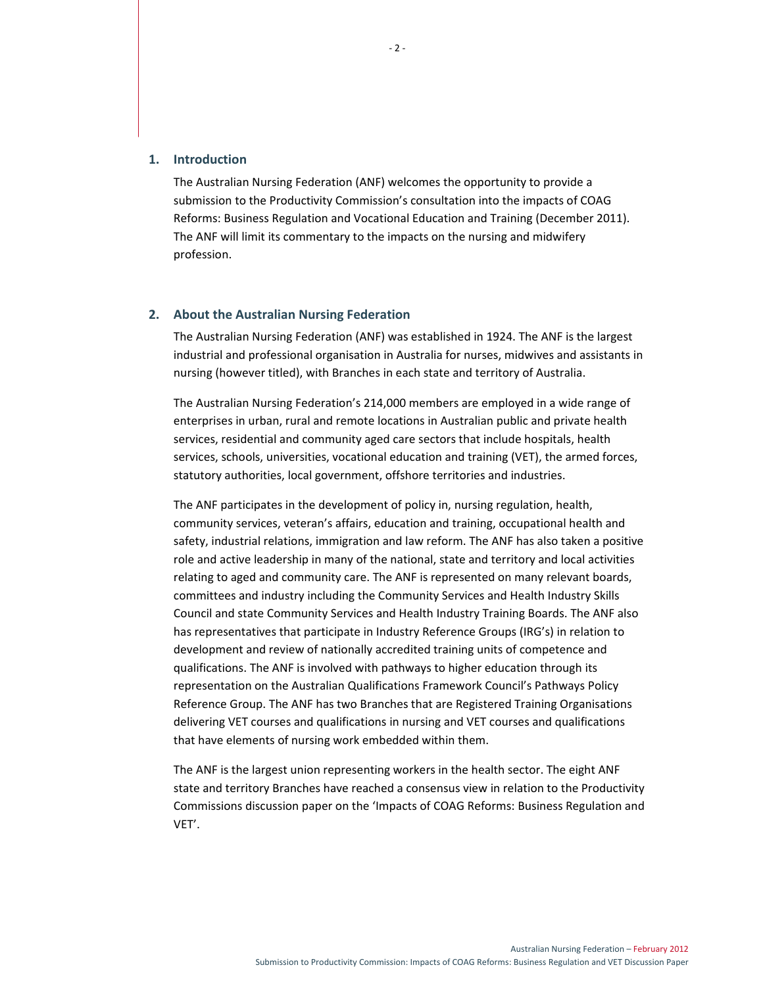## **1. Introduction**

The Australian Nursing Federation (ANF) welcomes the opportunity to provide a submission to the Productivity Commission's consultation into the impacts of COAG Reforms: Business Regulation and Vocational Education and Training (December 2011). The ANF will limit its commentary to the impacts on the nursing and midwifery profession.

#### **2. About the Australian Nursing Federation**

The Australian Nursing Federation (ANF) was established in 1924. The ANF is the largest industrial and professional organisation in Australia for nurses, midwives and assistants in nursing (however titled), with Branches in each state and territory of Australia.

The Australian Nursing Federation's 214,000 members are employed in a wide range of enterprises in urban, rural and remote locations in Australian public and private health services, residential and community aged care sectors that include hospitals, health services, schools, universities, vocational education and training (VET), the armed forces, statutory authorities, local government, offshore territories and industries.

The ANF participates in the development of policy in, nursing regulation, health, community services, veteran's affairs, education and training, occupational health and safety, industrial relations, immigration and law reform. The ANF has also taken a positive role and active leadership in many of the national, state and territory and local activities relating to aged and community care. The ANF is represented on many relevant boards, committees and industry including the Community Services and Health Industry Skills Council and state Community Services and Health Industry Training Boards. The ANF also has representatives that participate in Industry Reference Groups (IRG's) in relation to development and review of nationally accredited training units of competence and qualifications. The ANF is involved with pathways to higher education through its representation on the Australian Qualifications Framework Council's Pathways Policy Reference Group. The ANF has two Branches that are Registered Training Organisations delivering VET courses and qualifications in nursing and VET courses and qualifications that have elements of nursing work embedded within them.

The ANF is the largest union representing workers in the health sector. The eight ANF state and territory Branches have reached a consensus view in relation to the Productivity Commissions discussion paper on the 'Impacts of COAG Reforms: Business Regulation and VET'.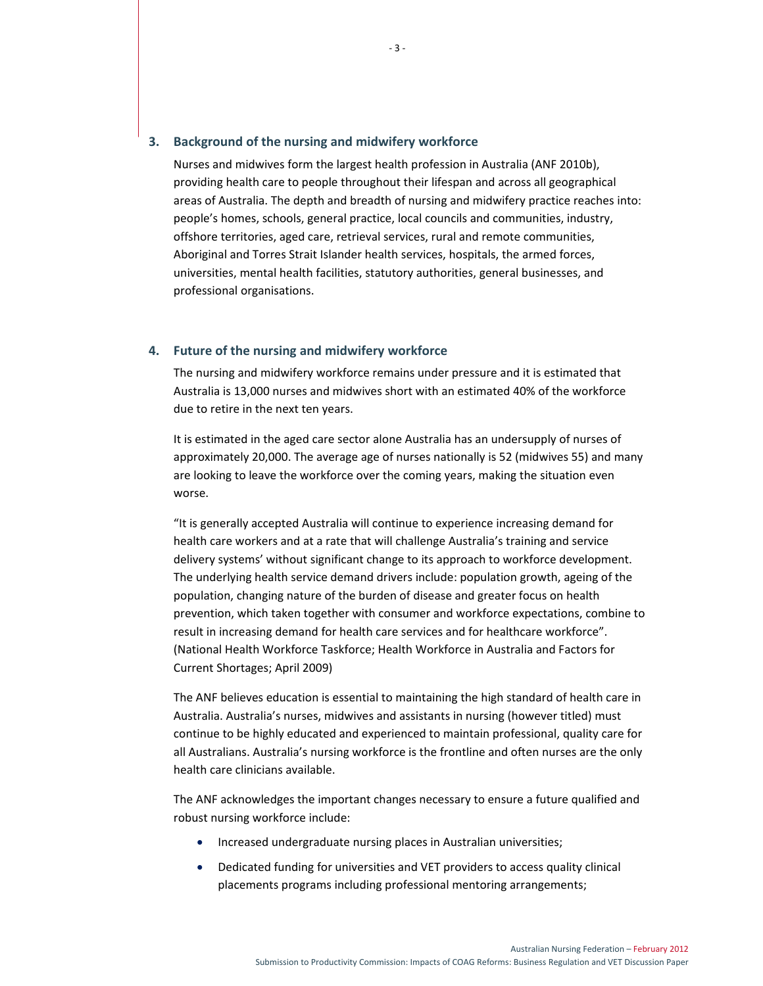## **3. Background of the nursing and midwifery workforce**

Nurses and midwives form the largest health profession in Australia (ANF 2010b), providing health care to people throughout their lifespan and across all geographical areas of Australia. The depth and breadth of nursing and midwifery practice reaches into: people's homes, schools, general practice, local councils and communities, industry, offshore territories, aged care, retrieval services, rural and remote communities, Aboriginal and Torres Strait Islander health services, hospitals, the armed forces, universities, mental health facilities, statutory authorities, general businesses, and professional organisations.

## **4. Future of the nursing and midwifery workforce**

The nursing and midwifery workforce remains under pressure and it is estimated that Australia is 13,000 nurses and midwives short with an estimated 40% of the workforce due to retire in the next ten years.

It is estimated in the aged care sector alone Australia has an undersupply of nurses of approximately 20,000. The average age of nurses nationally is 52 (midwives 55) and many are looking to leave the workforce over the coming years, making the situation even worse.

"It is generally accepted Australia will continue to experience increasing demand for health care workers and at a rate that will challenge Australia's training and service delivery systems' without significant change to its approach to workforce development. The underlying health service demand drivers include: population growth, ageing of the population, changing nature of the burden of disease and greater focus on health prevention, which taken together with consumer and workforce expectations, combine to result in increasing demand for health care services and for healthcare workforce". (National Health Workforce Taskforce; Health Workforce in Australia and Factors for Current Shortages; April 2009)

The ANF believes education is essential to maintaining the high standard of health care in Australia. Australia's nurses, midwives and assistants in nursing (however titled) must continue to be highly educated and experienced to maintain professional, quality care for all Australians. Australia's nursing workforce is the frontline and often nurses are the only health care clinicians available.

The ANF acknowledges the important changes necessary to ensure a future qualified and robust nursing workforce include:

- Increased undergraduate nursing places in Australian universities;
- Dedicated funding for universities and VET providers to access quality clinical placements programs including professional mentoring arrangements;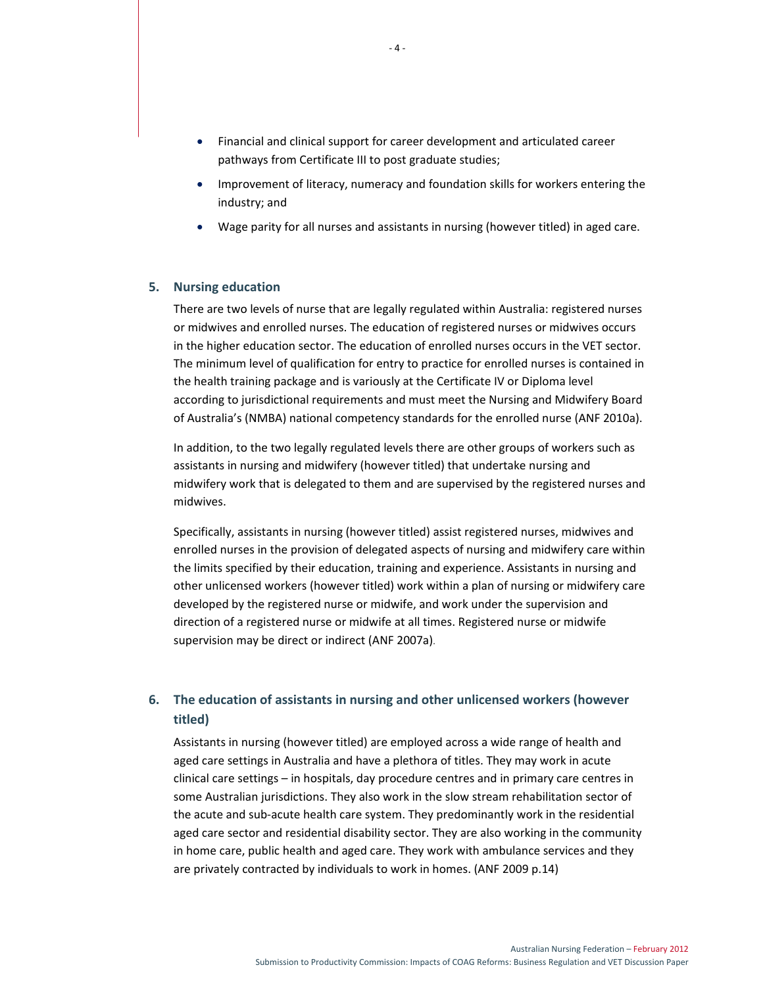- Financial and clinical support for career development and articulated career pathways from Certificate III to post graduate studies;
- Improvement of literacy, numeracy and foundation skills for workers entering the industry; and
- Wage parity for all nurses and assistants in nursing (however titled) in aged care.

## **5. Nursing education**

There are two levels of nurse that are legally regulated within Australia: registered nurses or midwives and enrolled nurses. The education of registered nurses or midwives occurs in the higher education sector. The education of enrolled nurses occurs in the VET sector. The minimum level of qualification for entry to practice for enrolled nurses is contained in the health training package and is variously at the Certificate IV or Diploma level according to jurisdictional requirements and must meet the Nursing and Midwifery Board of Australia's (NMBA) national competency standards for the enrolled nurse (ANF 2010a).

In addition, to the two legally regulated levels there are other groups of workers such as assistants in nursing and midwifery (however titled) that undertake nursing and midwifery work that is delegated to them and are supervised by the registered nurses and midwives.

Specifically, assistants in nursing (however titled) assist registered nurses, midwives and enrolled nurses in the provision of delegated aspects of nursing and midwifery care within the limits specified by their education, training and experience. Assistants in nursing and other unlicensed workers (however titled) work within a plan of nursing or midwifery care developed by the registered nurse or midwife, and work under the supervision and direction of a registered nurse or midwife at all times. Registered nurse or midwife supervision may be direct or indirect (ANF 2007a).

## **6. The education of assistants in nursing and other unlicensed workers (however titled)**

Assistants in nursing (however titled) are employed across a wide range of health and aged care settings in Australia and have a plethora of titles. They may work in acute clinical care settings – in hospitals, day procedure centres and in primary care centres in some Australian jurisdictions. They also work in the slow stream rehabilitation sector of the acute and sub‐acute health care system. They predominantly work in the residential aged care sector and residential disability sector. They are also working in the community in home care, public health and aged care. They work with ambulance services and they are privately contracted by individuals to work in homes. (ANF 2009 p.14)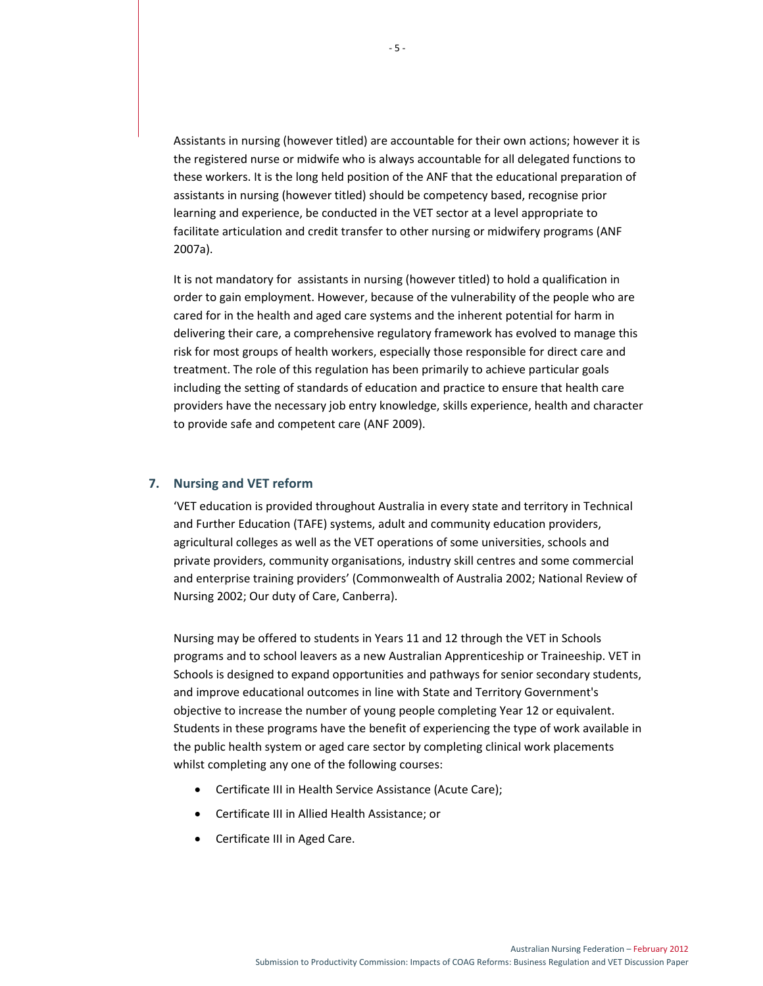Assistants in nursing (however titled) are accountable for their own actions; however it is the registered nurse or midwife who is always accountable for all delegated functions to these workers. It is the long held position of the ANF that the educational preparation of assistants in nursing (however titled) should be competency based, recognise prior learning and experience, be conducted in the VET sector at a level appropriate to facilitate articulation and credit transfer to other nursing or midwifery programs (ANF 2007a).

It is not mandatory for assistants in nursing (however titled) to hold a qualification in order to gain employment. However, because of the vulnerability of the people who are cared for in the health and aged care systems and the inherent potential for harm in delivering their care, a comprehensive regulatory framework has evolved to manage this risk for most groups of health workers, especially those responsible for direct care and treatment. The role of this regulation has been primarily to achieve particular goals including the setting of standards of education and practice to ensure that health care providers have the necessary job entry knowledge, skills experience, health and character to provide safe and competent care (ANF 2009).

## **7. Nursing and VET reform**

'VET education is provided throughout Australia in every state and territory in Technical and Further Education (TAFE) systems, adult and community education providers, agricultural colleges as well as the VET operations of some universities, schools and private providers, community organisations, industry skill centres and some commercial and enterprise training providers' (Commonwealth of Australia 2002; National Review of Nursing 2002; Our duty of Care, Canberra).

Nursing may be offered to students in Years 11 and 12 through the VET in Schools programs and to school leavers as a new Australian Apprenticeship or Traineeship. VET in Schools is designed to expand opportunities and pathways for senior secondary students, and improve educational outcomes in line with State and Territory Government's objective to increase the number of young people completing Year 12 or equivalent. Students in these programs have the benefit of experiencing the type of work available in the public health system or aged care sector by completing clinical work placements whilst completing any one of the following courses:

- Certificate III in Health Service Assistance (Acute Care);
- Certificate III in Allied Health Assistance; or
- Certificate III in Aged Care.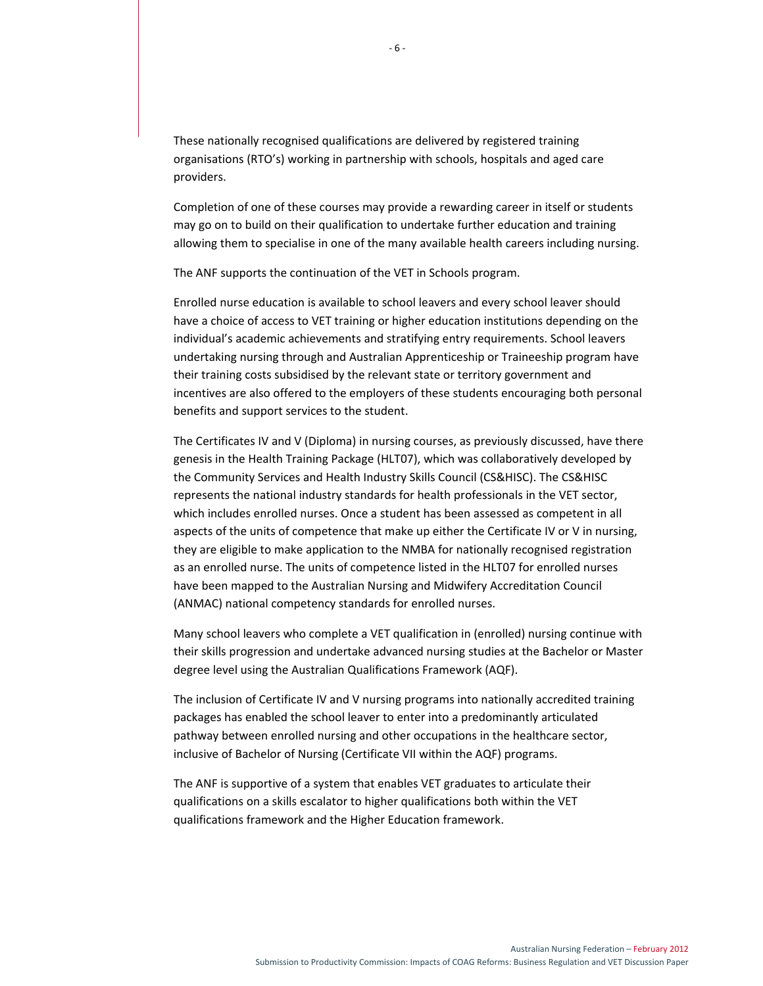These nationally recognised qualifications are delivered by registered training organisations (RTO's) working in partnership with schools, hospitals and aged care providers.

Completion of one of these courses may provide a rewarding career in itself or students may go on to build on their qualification to undertake further education and training allowing them to specialise in one of the many available health careers including nursing.

The ANF supports the continuation of the VET in Schools program.

Enrolled nurse education is available to school leavers and every school leaver should have a choice of access to VET training or higher education institutions depending on the individual's academic achievements and stratifying entry requirements. School leavers undertaking nursing through and Australian Apprenticeship or Traineeship program have their training costs subsidised by the relevant state or territory government and incentives are also offered to the employers of these students encouraging both personal benefits and support services to the student.

The Certificates IV and V (Diploma) in nursing courses, as previously discussed, have there genesis in the Health Training Package (HLT07), which was collaboratively developed by the Community Services and Health Industry Skills Council (CS&HISC). The CS&HISC represents the national industry standards for health professionals in the VET sector, which includes enrolled nurses. Once a student has been assessed as competent in all aspects of the units of competence that make up either the Certificate IV or V in nursing, they are eligible to make application to the NMBA for nationally recognised registration as an enrolled nurse. The units of competence listed in the HLT07 for enrolled nurses have been mapped to the Australian Nursing and Midwifery Accreditation Council (ANMAC) national competency standards for enrolled nurses.

Many school leavers who complete a VET qualification in (enrolled) nursing continue with their skills progression and undertake advanced nursing studies at the Bachelor or Master degree level using the Australian Qualifications Framework (AQF).

The inclusion of Certificate IV and V nursing programs into nationally accredited training packages has enabled the school leaver to enter into a predominantly articulated pathway between enrolled nursing and other occupations in the healthcare sector, inclusive of Bachelor of Nursing (Certificate VII within the AQF) programs.

The ANF is supportive of a system that enables VET graduates to articulate their qualifications on a skills escalator to higher qualifications both within the VET qualifications framework and the Higher Education framework.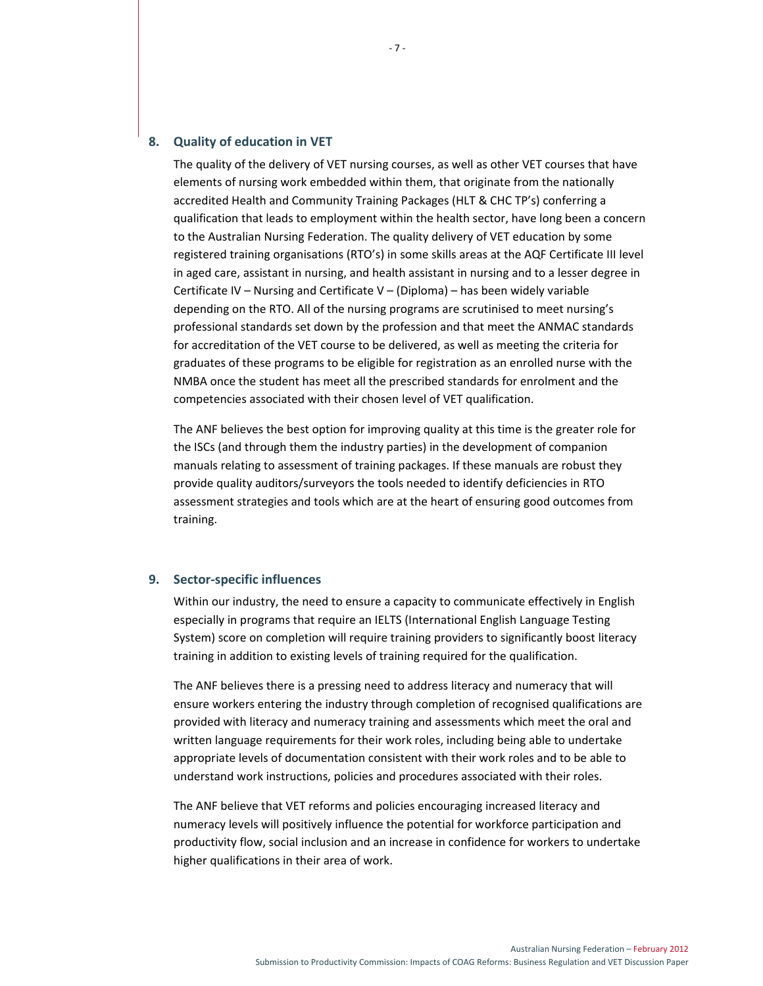## **8. Quality of education in VET**

The quality of the delivery of VET nursing courses, as well as other VET courses that have elements of nursing work embedded within them, that originate from the nationally accredited Health and Community Training Packages (HLT & CHC TP's) conferring a qualification that leads to employment within the health sector, have long been a concern to the Australian Nursing Federation. The quality delivery of VET education by some registered training organisations (RTO's) in some skills areas at the AQF Certificate III level in aged care, assistant in nursing, and health assistant in nursing and to a lesser degree in Certificate IV – Nursing and Certificate V – (Diploma) – has been widely variable depending on the RTO. All of the nursing programs are scrutinised to meet nursing's professional standards set down by the profession and that meet the ANMAC standards for accreditation of the VET course to be delivered, as well as meeting the criteria for graduates of these programs to be eligible for registration as an enrolled nurse with the NMBA once the student has meet all the prescribed standards for enrolment and the competencies associated with their chosen level of VET qualification.

The ANF believes the best option for improving quality at this time is the greater role for the ISCs (and through them the industry parties) in the development of companion manuals relating to assessment of training packages. If these manuals are robust they provide quality auditors/surveyors the tools needed to identify deficiencies in RTO assessment strategies and tools which are at the heart of ensuring good outcomes from training.

## **9. Sector‐specific influences**

Within our industry, the need to ensure a capacity to communicate effectively in English especially in programs that require an IELTS (International English Language Testing System) score on completion will require training providers to significantly boost literacy training in addition to existing levels of training required for the qualification.

The ANF believes there is a pressing need to address literacy and numeracy that will ensure workers entering the industry through completion of recognised qualifications are provided with literacy and numeracy training and assessments which meet the oral and written language requirements for their work roles, including being able to undertake appropriate levels of documentation consistent with their work roles and to be able to understand work instructions, policies and procedures associated with their roles.

The ANF believe that VET reforms and policies encouraging increased literacy and numeracy levels will positively influence the potential for workforce participation and productivity flow, social inclusion and an increase in confidence for workers to undertake higher qualifications in their area of work.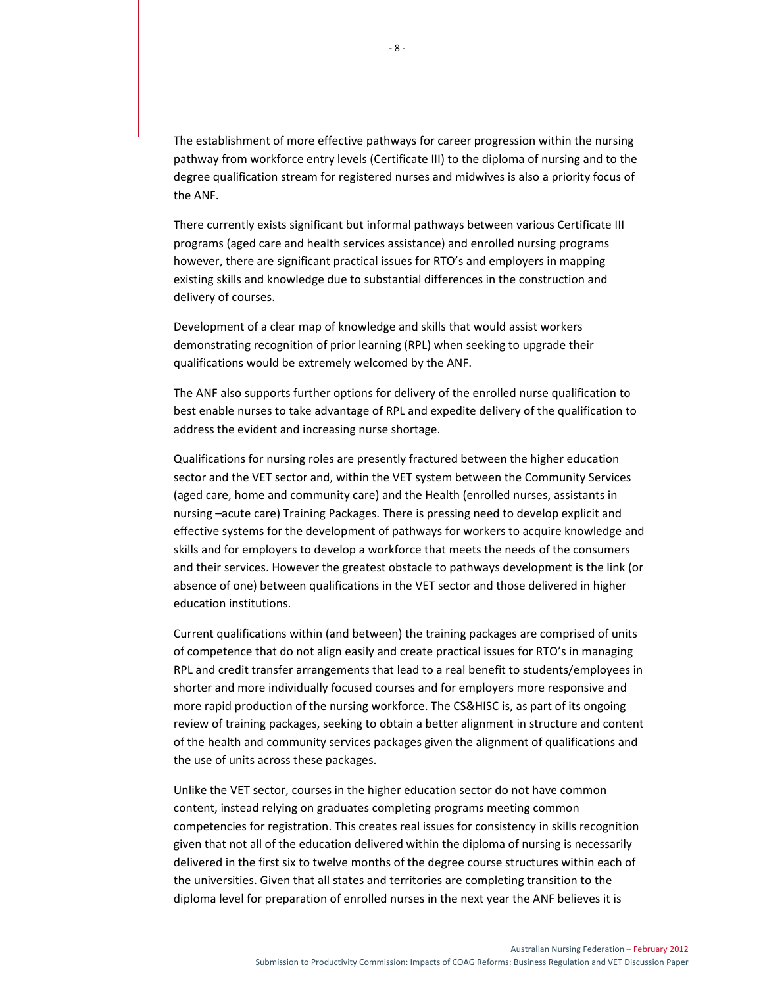The establishment of more effective pathways for career progression within the nursing pathway from workforce entry levels (Certificate III) to the diploma of nursing and to the degree qualification stream for registered nurses and midwives is also a priority focus of the ANF.

There currently exists significant but informal pathways between various Certificate III programs (aged care and health services assistance) and enrolled nursing programs however, there are significant practical issues for RTO's and employers in mapping existing skills and knowledge due to substantial differences in the construction and delivery of courses.

Development of a clear map of knowledge and skills that would assist workers demonstrating recognition of prior learning (RPL) when seeking to upgrade their qualifications would be extremely welcomed by the ANF.

The ANF also supports further options for delivery of the enrolled nurse qualification to best enable nurses to take advantage of RPL and expedite delivery of the qualification to address the evident and increasing nurse shortage.

Qualifications for nursing roles are presently fractured between the higher education sector and the VET sector and, within the VET system between the Community Services (aged care, home and community care) and the Health (enrolled nurses, assistants in nursing –acute care) Training Packages. There is pressing need to develop explicit and effective systems for the development of pathways for workers to acquire knowledge and skills and for employers to develop a workforce that meets the needs of the consumers and their services. However the greatest obstacle to pathways development is the link (or absence of one) between qualifications in the VET sector and those delivered in higher education institutions.

Current qualifications within (and between) the training packages are comprised of units of competence that do not align easily and create practical issues for RTO's in managing RPL and credit transfer arrangements that lead to a real benefit to students/employees in shorter and more individually focused courses and for employers more responsive and more rapid production of the nursing workforce. The CS&HISC is, as part of its ongoing review of training packages, seeking to obtain a better alignment in structure and content of the health and community services packages given the alignment of qualifications and the use of units across these packages.

Unlike the VET sector, courses in the higher education sector do not have common content, instead relying on graduates completing programs meeting common competencies for registration. This creates real issues for consistency in skills recognition given that not all of the education delivered within the diploma of nursing is necessarily delivered in the first six to twelve months of the degree course structures within each of the universities. Given that all states and territories are completing transition to the diploma level for preparation of enrolled nurses in the next year the ANF believes it is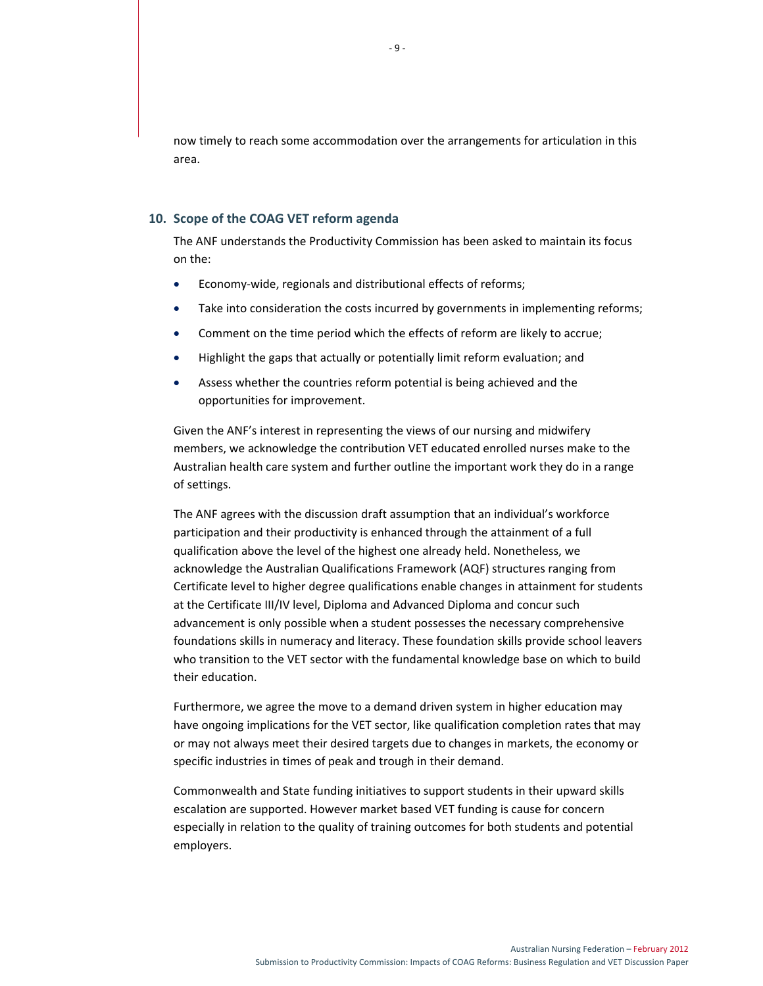now timely to reach some accommodation over the arrangements for articulation in this area.

## **10. Scope of the COAG VET reform agenda**

The ANF understands the Productivity Commission has been asked to maintain its focus on the:

- Economy‐wide, regionals and distributional effects of reforms;
- Take into consideration the costs incurred by governments in implementing reforms;
- Comment on the time period which the effects of reform are likely to accrue;
- Highlight the gaps that actually or potentially limit reform evaluation; and
- Assess whether the countries reform potential is being achieved and the opportunities for improvement.

Given the ANF's interest in representing the views of our nursing and midwifery members, we acknowledge the contribution VET educated enrolled nurses make to the Australian health care system and further outline the important work they do in a range of settings.

The ANF agrees with the discussion draft assumption that an individual's workforce participation and their productivity is enhanced through the attainment of a full qualification above the level of the highest one already held. Nonetheless, we acknowledge the Australian Qualifications Framework (AQF) structures ranging from Certificate level to higher degree qualifications enable changes in attainment for students at the Certificate III/IV level, Diploma and Advanced Diploma and concur such advancement is only possible when a student possesses the necessary comprehensive foundations skills in numeracy and literacy. These foundation skills provide school leavers who transition to the VET sector with the fundamental knowledge base on which to build their education.

Furthermore, we agree the move to a demand driven system in higher education may have ongoing implications for the VET sector, like qualification completion rates that may or may not always meet their desired targets due to changes in markets, the economy or specific industries in times of peak and trough in their demand.

Commonwealth and State funding initiatives to support students in their upward skills escalation are supported. However market based VET funding is cause for concern especially in relation to the quality of training outcomes for both students and potential employers.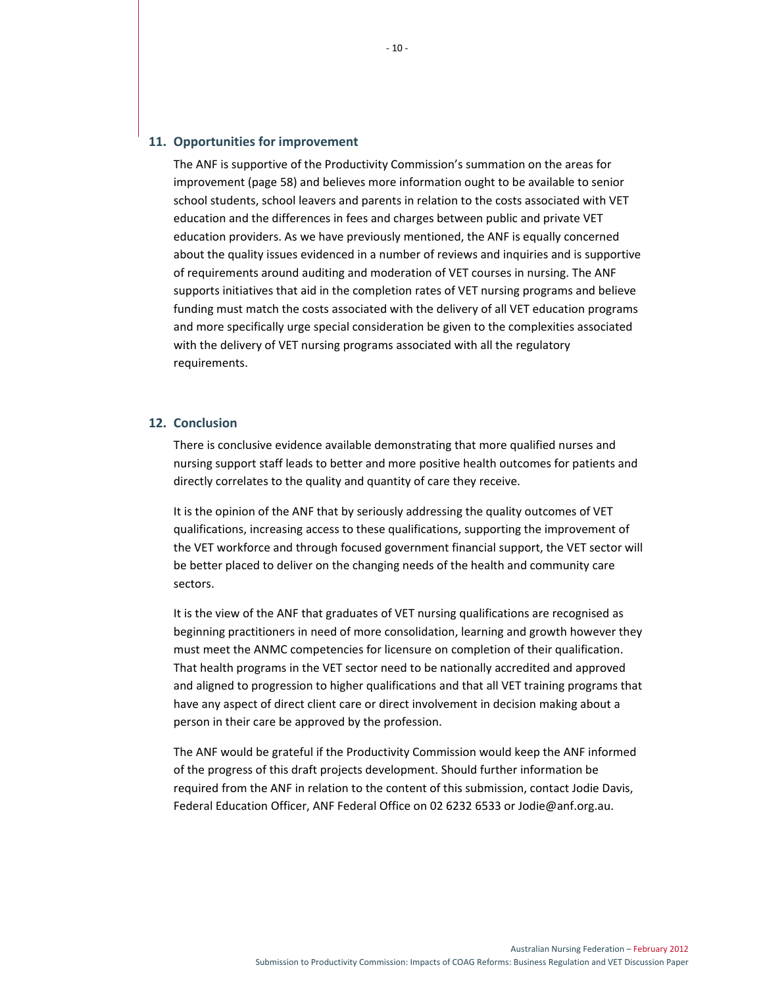## **11. Opportunities for improvement**

The ANF is supportive of the Productivity Commission's summation on the areas for improvement (page 58) and believes more information ought to be available to senior school students, school leavers and parents in relation to the costs associated with VET education and the differences in fees and charges between public and private VET education providers. As we have previously mentioned, the ANF is equally concerned about the quality issues evidenced in a number of reviews and inquiries and is supportive of requirements around auditing and moderation of VET courses in nursing. The ANF supports initiatives that aid in the completion rates of VET nursing programs and believe funding must match the costs associated with the delivery of all VET education programs and more specifically urge special consideration be given to the complexities associated with the delivery of VET nursing programs associated with all the regulatory requirements.

## **12. Conclusion**

There is conclusive evidence available demonstrating that more qualified nurses and nursing support staff leads to better and more positive health outcomes for patients and directly correlates to the quality and quantity of care they receive.

It is the opinion of the ANF that by seriously addressing the quality outcomes of VET qualifications, increasing access to these qualifications, supporting the improvement of the VET workforce and through focused government financial support, the VET sector will be better placed to deliver on the changing needs of the health and community care sectors.

It is the view of the ANF that graduates of VET nursing qualifications are recognised as beginning practitioners in need of more consolidation, learning and growth however they must meet the ANMC competencies for licensure on completion of their qualification. That health programs in the VET sector need to be nationally accredited and approved and aligned to progression to higher qualifications and that all VET training programs that have any aspect of direct client care or direct involvement in decision making about a person in their care be approved by the profession.

The ANF would be grateful if the Productivity Commission would keep the ANF informed of the progress of this draft projects development. Should further information be required from the ANF in relation to the content of this submission, contact Jodie Davis, Federal Education Officer, ANF Federal Office on 02 6232 6533 or Jodie@anf.org.au.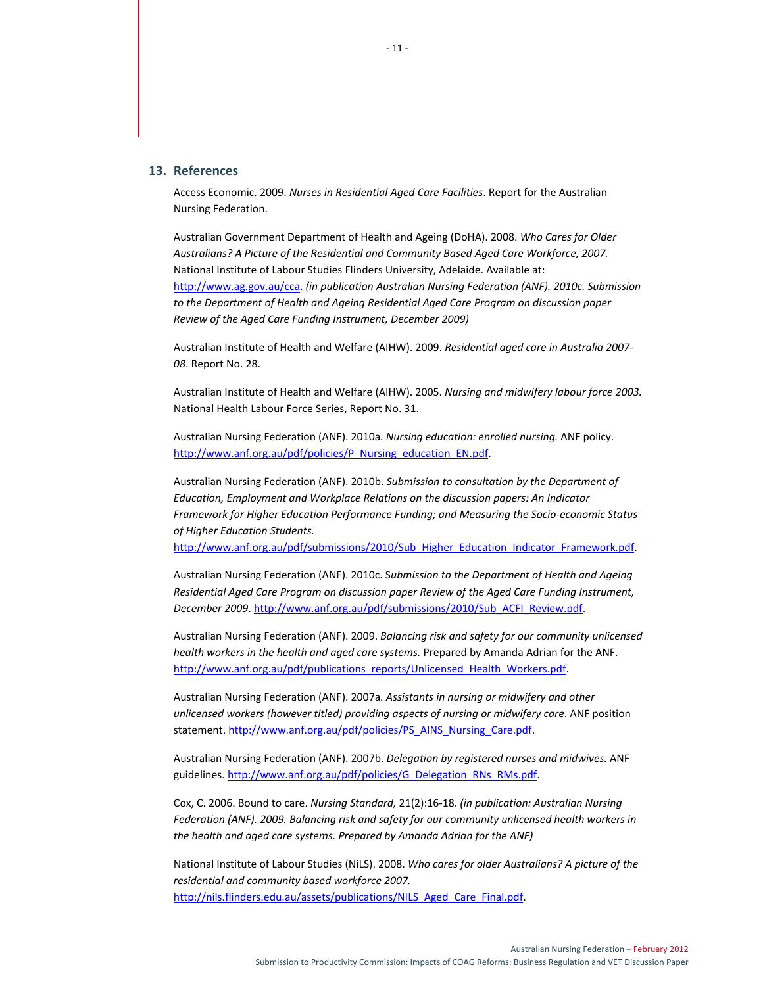## **13. References**

Access Economic. 2009. *Nurses in Residential Aged Care Facilities*. Report for the Australian Nursing Federation.

Australian Government Department of Health and Ageing (DoHA). 2008. *Who Cares for Older Australians? A Picture of the Residential and Community Based Aged Care Workforce, 2007.* National Institute of Labour Studies Flinders University, Adelaide. Available at: http://www.ag.gov.au/cca. *(in publication Australian Nursing Federation (ANF). 2010c. Submission to the Department of Health and Ageing Residential Aged Care Program on discussion paper Review of the Aged Care Funding Instrument, December 2009)*

Australian Institute of Health and Welfare (AIHW). 2009. *Residential aged care in Australia 2007‐ 08*. Report No. 28.

Australian Institute of Health and Welfare (AIHW). 2005. *Nursing and midwifery labour force 2003.* National Health Labour Force Series, Report No. 31.

Australian Nursing Federation (ANF). 2010a. *Nursing education: enrolled nursing.* ANF policy. http://www.anf.org.au/pdf/policies/P\_Nursing\_education\_EN.pdf.

Australian Nursing Federation (ANF). 2010b. *Submission to consultation by the Department of Education, Employment and Workplace Relations on the discussion papers: An Indicator Framework for Higher Education Performance Funding; and Measuring the Socio‐economic Status of Higher Education Students.*

http://www.anf.org.au/pdf/submissions/2010/Sub\_Higher\_Education\_Indicator\_Framework.pdf.

Australian Nursing Federation (ANF). 2010c. S*ubmission to the Department of Health and Ageing Residential Aged Care Program on discussion paper Review of the Aged Care Funding Instrument, December 2009*. http://www.anf.org.au/pdf/submissions/2010/Sub\_ACFI\_Review.pdf.

Australian Nursing Federation (ANF). 2009. *Balancing risk and safety for our community unlicensed health workers in the health and aged care systems.* Prepared by Amanda Adrian for the ANF. http://www.anf.org.au/pdf/publications\_reports/Unlicensed\_Health\_Workers.pdf.

Australian Nursing Federation (ANF). 2007a. *Assistants in nursing or midwifery and other unlicensed workers (however titled) providing aspects of nursing or midwifery care*. ANF position statement. http://www.anf.org.au/pdf/policies/PS\_AINS\_Nursing\_Care.pdf.

Australian Nursing Federation (ANF). 2007b. *Delegation by registered nurses and midwives.* ANF guidelines. http://www.anf.org.au/pdf/policies/G\_Delegation\_RNs\_RMs.pdf.

Cox, C. 2006. Bound to care. *Nursing Standard,* 21(2):16‐18. *(in publication: Australian Nursing Federation (ANF). 2009. Balancing risk and safety for our community unlicensed health workers in the health and aged care systems. Prepared by Amanda Adrian for the ANF)*

National Institute of Labour Studies (NiLS). 2008. *Who cares for older Australians? A picture of the residential and community based workforce 2007.* http://nils.flinders.edu.au/assets/publications/NILS\_Aged\_Care\_Final.pdf.